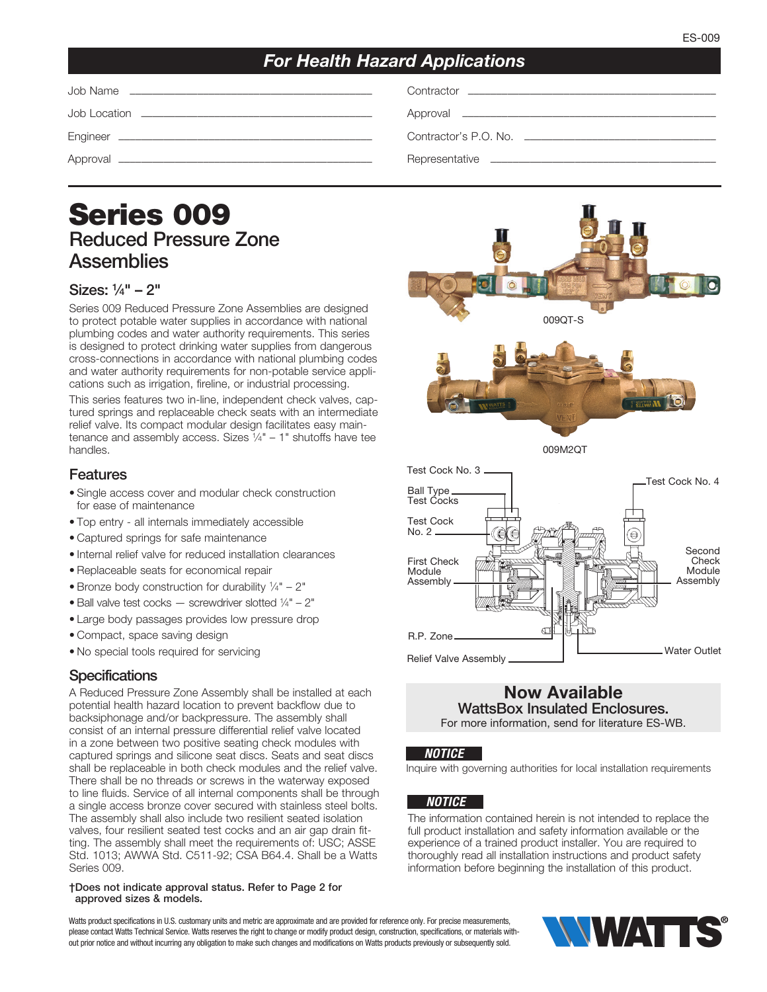# *For Health Hazard Applications*

| Job Name |
|----------|
|          |

Job Location ––––––––––––––––––––––––––––––––––––––––– Approval –––––––––––––––––––––––––––––––––––––––––––––

Job Name ––––––––––––––––––––––––––––––––––––––––––– Contractor ––––––––––––––––––––––––––––––––––––––––––––

Engineer ––––––––––––––––––––––––––––––––––––––––––––– Contractor's P.O. No. ––––––––––––––––––––––––––––––––––

Approval ––––––––––––––––––––––––––––––––––––––––––––– Representative ––––––––––––––––––––––––––––––––––––––––

# Series 009 Reduced Pressure Zone **Assemblies**

### Sizes: 1 ⁄4" – 2"

Series 009 Reduced Pressure Zone Assemblies are designed to protect potable water supplies in accordance with national plumbing codes and water authority requirements. This series is designed to protect drinking water supplies from dangerous cross-connections in accordance with national plumbing codes and water authority requirements for non-potable service applications such as irrigation, fireline, or industrial processing.

This series features two in-line, independent check valves, captured springs and replaceable check seats with an intermediate relief valve. Its compact modular design facilitates easy maintenance and assembly access. Sizes  $\frac{1}{4}$ " – 1" shutoffs have tee handles.

#### Features

- Single access cover and modular check construction for ease of maintenance
- Top entry all internals immediately accessible
- Captured springs for safe maintenance
- Internal relief valve for reduced installation clearances
- Replaceable seats for economical repair
- Bronze body construction for durability  $\frac{1}{4}$ " 2"
- Ball valve test cocks  $-$  screwdriver slotted  $\frac{1}{4}$ " 2"
- Large body passages provides low pressure drop
- Compact, space saving design
- No special tools required for servicing

### **Specifications**

A Reduced Pressure Zone Assembly shall be installed at each potential health hazard location to prevent backflow due to backsiphonage and/or backpressure. The assembly shall consist of an internal pressure differential relief valve located in a zone between two positive seating check modules with captured springs and silicone seat discs. Seats and seat discs shall be replaceable in both check modules and the relief valve. There shall be no threads or screws in the waterway exposed to line fluids. Service of all internal components shall be through a single access bronze cover secured with stainless steel bolts. The assembly shall also include two resilient seated isolation valves, four resilient seated test cocks and an air gap drain fitting. The assembly shall meet the requirements of: USC; ASSE Std. 1013; AWWA Std. C511-92; CSA B64.4. Shall be a Watts Series 009.

#### †Does not indicate approval status. Refer to Page 2 for approved sizes & models.

Watts product specifications in U.S. customary units and metric are approximate and are provided for reference only. For precise measurements, please contact Watts Technical Service. Watts reserves the right to change or modify product design, construction, specifications, or materials without prior notice and without incurring any obligation to make such changes and modifications on Watts products previously or subsequently sold.





#### Now Available WattsBox Insulated Enclosures. For more information, send for literature ES-WB.

#### *NOTICE*

Inquire with governing authorities for local installation requirements

#### *NOTICE*

The information contained herein is not intended to replace the full product installation and safety information available or the experience of a trained product installer. You are required to thoroughly read all installation instructions and product safety information before beginning the installation of this product.

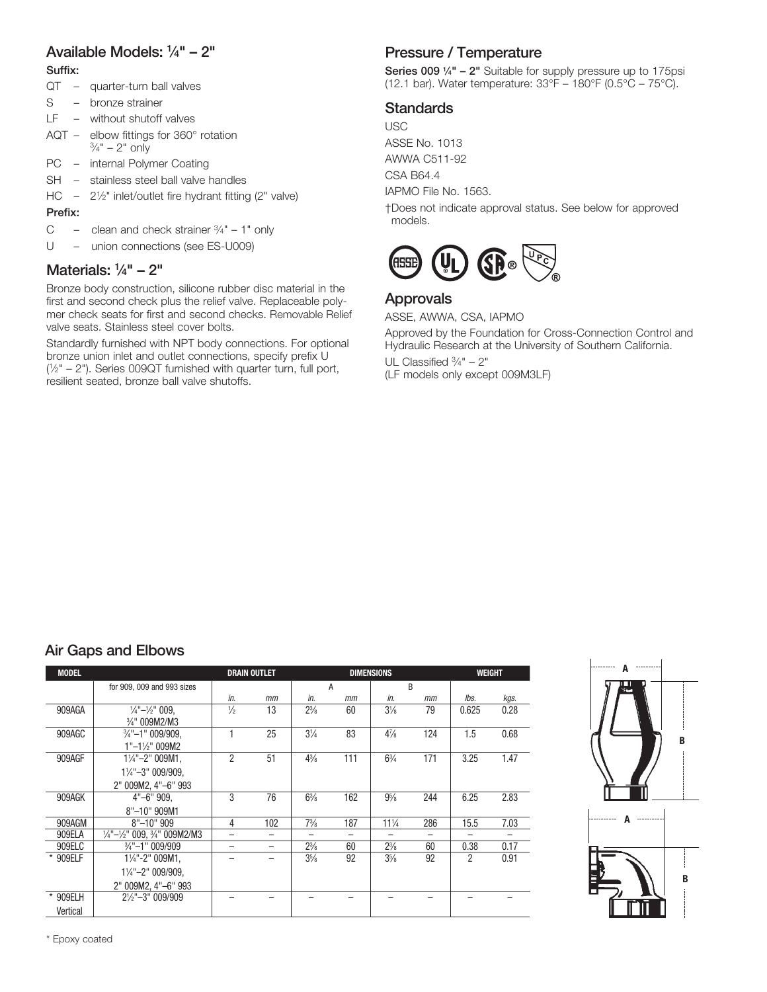# Available Models: 1 ⁄4" – 2"

Suffix:

- QT quarter-turn ball valves
- S bronze strainer
- LF without shutoff valves
- AQT elbow fittings for 360° rotation  $\frac{3}{4}$ " – 2" only
- PC internal Polymer Coating
- SH stainless steel ball valve handles
- HC  $-$  2<sup>1</sup>/<sub>2</sub>" inlet/outlet fire hydrant fitting (2" valve)

#### Prefix:

- C clean and check strainer  $\frac{3}{4}$ " 1" only
- U union connections (see ES-U009)

# Materials: 1 ⁄4" – 2"

Bronze body construction, silicone rubber disc material in the first and second check plus the relief valve. Replaceable polymer check seats for first and second checks. Removable Relief valve seats. Stainless steel cover bolts.

Standardly furnished with NPT body connections. For optional bronze union inlet and outlet connections, specify prefix U ( 1⁄2" – 2"). Series 009QT furnished with quarter turn, full port, resilient seated, bronze ball valve shutoffs.

# Pressure / Temperature

Series 009 1/4" - 2" Suitable for supply pressure up to 175psi (12.1 bar). Water temperature: 33°F – 180°F (0.5°C – 75°C).

# **Standards**

USC ASSE No. 1013 AWWA C511-92 CSA B64.4

IAPMO File No. 1563.

†Does not indicate approval status. See below for approved models.



### Approvals

ASSE, AWWA, CSA, IAPMO

Approved by the Foundation for Cross-Connection Control and Hydraulic Research at the University of Southern California. UL Classified  $\frac{3}{4}$ " – 2" (LF models only except 009M3LF)

# Air Gaps and Elbows

| <b>MODEL</b> |                                                                |               | <b>DRAIN OUTLET</b>      |                          | <b>DIMENSIONS</b> | WEIGHT          |     |       |      |  |  |  |
|--------------|----------------------------------------------------------------|---------------|--------------------------|--------------------------|-------------------|-----------------|-----|-------|------|--|--|--|
|              | for 909, 009 and 993 sizes                                     |               |                          | A                        |                   | <sub>R</sub>    |     |       |      |  |  |  |
|              |                                                                | in.           | mm                       | in.                      | mm                | in.             | mm  | lbs.  | kgs. |  |  |  |
| 909AGA       | $\frac{1}{4}$ " $-\frac{1}{2}$ " 009.                          | $\frac{1}{2}$ | 13                       | $2\frac{3}{8}$           | 60                | $3\frac{1}{8}$  | 79  | 0.625 | 0.28 |  |  |  |
|              | 3/4" 009M2/M3                                                  |               |                          |                          |                   |                 |     |       |      |  |  |  |
| 909AGC       | $\frac{3}{4}$ "-1" 009/909,                                    |               | 25                       | $3\frac{1}{4}$           | 83                | $4\frac{7}{8}$  | 124 | 1.5   | 0.68 |  |  |  |
|              | $1"$ -1½" 009M2                                                |               |                          |                          |                   |                 |     |       |      |  |  |  |
| 909AGF       | $1\frac{1}{4}$ "-2" 009M1,                                     | 2             | 51                       | $4\frac{3}{8}$           | 111               | $6\frac{3}{4}$  | 171 | 3.25  | 1.47 |  |  |  |
|              | 11/4"-3" 009/909.                                              |               |                          |                          |                   |                 |     |       |      |  |  |  |
|              | 2" 009M2, 4"-6" 993                                            |               |                          |                          |                   |                 |     |       |      |  |  |  |
| 909AGK       | $4"$ -6" 909.                                                  | 3             | 76                       | $6\frac{3}{8}$           | 162               | $9\frac{5}{8}$  | 244 | 6.25  | 2.83 |  |  |  |
|              | 8"-10" 909M1                                                   |               |                          |                          |                   |                 |     |       |      |  |  |  |
| 909AGM       | $8" - 10" 909$                                                 | 4             | 102                      | $7\frac{3}{8}$           | 187               | $11\frac{1}{4}$ | 286 | 15.5  | 7.03 |  |  |  |
| 909ELA       | $\frac{1}{4}$ "- $\frac{1}{2}$ " 009, $\frac{3}{4}$ " 009M2/M3 |               | —                        | $\overline{\phantom{0}}$ | -                 |                 |     |       |      |  |  |  |
| 909ELC       | $\frac{3}{4}$ "-1" 009/909                                     | -             | $\overline{\phantom{0}}$ | $2\frac{3}{8}$           | 60                | $2\frac{3}{8}$  | 60  | 0.38  | 0.17 |  |  |  |
| * 909ELF     | $1\frac{1}{4}$ "-2" 009M1.                                     |               |                          | $3\frac{5}{8}$           | 92                | $3\frac{5}{8}$  | 92  | 2     | 0.91 |  |  |  |
|              | $1\frac{1}{4}$ "-2" 009/909,                                   |               |                          |                          |                   |                 |     |       |      |  |  |  |
|              | 2" 009M2, 4"-6" 993                                            |               |                          |                          |                   |                 |     |       |      |  |  |  |
| * 909ELH     | 21/2"-3" 009/909                                               |               |                          |                          |                   |                 |     |       |      |  |  |  |
| Vertical     |                                                                |               |                          |                          |                   |                 |     |       |      |  |  |  |



\* Epoxy coated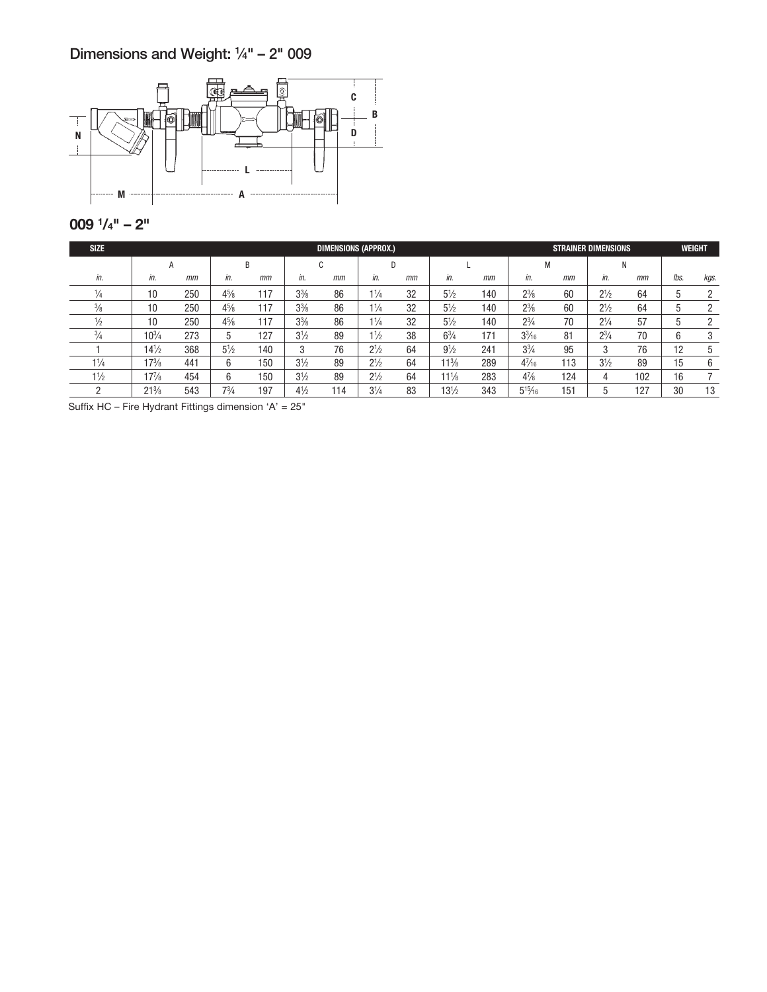## Dimensions and Weight: 1 ⁄4" – 2" 009



### 009 1 /4" – 2"

| <b>SIZE</b>    | <b>DIMENSIONS (APPROX.)</b> |     |                |     |                |     |                |    |                 |     |                 | <b>STRAINER DIMENSIONS</b> |                |     |      |      |
|----------------|-----------------------------|-----|----------------|-----|----------------|-----|----------------|----|-----------------|-----|-----------------|----------------------------|----------------|-----|------|------|
|                | A                           |     | B              |     | u              |     | D              |    |                 |     | M               |                            | Ν              |     |      |      |
| in.            | in.                         | mm  | in.            | mm  | in.            | mm  | in.            | mm | in.             | mm  | in.             | mm                         | in.            | mm  | lbs. | kgs. |
|                | 10                          | 250 | $4\frac{5}{8}$ | 117 | $3\frac{3}{8}$ | 86  | $1\frac{1}{4}$ | 32 | $5\frac{1}{2}$  | 140 | $2^{3}/_{8}$    | 60                         | $2^{1/2}$      | 64  | 5    |      |
| $\frac{3}{8}$  | 10                          | 250 | $4\frac{5}{8}$ | 117 | $3\frac{3}{8}$ | 86  | $1\frac{1}{4}$ | 32 | $5\frac{1}{2}$  | 140 | $2\frac{3}{8}$  | 60                         | $2^{1/2}$      | 64  | 5    |      |
| ⅓              | 10                          | 250 | $4\frac{5}{8}$ | 117 | $3\frac{3}{8}$ | 86  | $1\frac{1}{4}$ | 32 | $5\frac{1}{2}$  | 140 | $2\frac{3}{4}$  | 70                         | $2\frac{1}{4}$ | 57  | 5    |      |
| $^{3/4}$       | $10^{3}/4$                  | 273 | 5              | 127 | $3\frac{1}{2}$ | 89  | $1\frac{1}{2}$ | 38 | $6\frac{3}{4}$  | 171 | $3\frac{3}{16}$ | 81                         | $2\frac{3}{4}$ | 70  | 6    |      |
|                | $14\frac{1}{2}$             | 368 | $5\frac{1}{2}$ | 140 |                | 76  | $2^{1/2}$      | 64 | $9\frac{1}{2}$  | 241 | $3\frac{3}{4}$  | 95                         | 3              | 76  | 12   | 5    |
| $1\frac{1}{4}$ | $17\frac{3}{8}$             | 441 | 6              | 150 | $3\frac{1}{2}$ | 89  | $2\frac{1}{2}$ | 64 | $11\frac{3}{8}$ | 289 | $4^{7}/_{16}$   | 113                        | $3\frac{1}{2}$ | 89  | 15   | 6    |
| $1\frac{1}{2}$ | $17\frac{7}{8}$             | 454 | 6              | 150 | $3\frac{1}{2}$ | 89  | $2^{1/2}$      | 64 | $11\frac{1}{8}$ | 283 | $4\frac{7}{8}$  | 124                        | 4              | 102 | 16   |      |
| ∩              | $21\%$                      | 543 | $7\frac{3}{4}$ | 197 | $4\frac{1}{2}$ | 114 | $3\frac{1}{4}$ | 83 | $13\frac{1}{2}$ | 343 | $5^{15}/_{16}$  | 151                        | b              | 127 | 30   | 13   |

Suffix HC – Fire Hydrant Fittings dimension 'A' = 25"